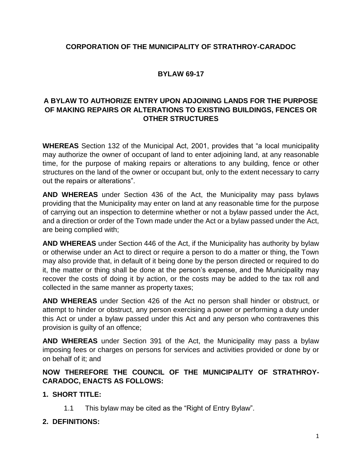# **CORPORATION OF THE MUNICIPALITY OF STRATHROY-CARADOC**

# **BYLAW 69-17**

# **A BYLAW TO AUTHORIZE ENTRY UPON ADJOINING LANDS FOR THE PURPOSE OF MAKING REPAIRS OR ALTERATIONS TO EXISTING BUILDINGS, FENCES OR OTHER STRUCTURES**

**WHEREAS** Section 132 of the Municipal Act, 2001, provides that "a local municipality may authorize the owner of occupant of land to enter adjoining land, at any reasonable time, for the purpose of making repairs or alterations to any building, fence or other structures on the land of the owner or occupant but, only to the extent necessary to carry out the repairs or alterations".

**AND WHEREAS** under Section 436 of the Act, the Municipality may pass bylaws providing that the Municipality may enter on land at any reasonable time for the purpose of carrying out an inspection to determine whether or not a bylaw passed under the Act, and a direction or order of the Town made under the Act or a bylaw passed under the Act, are being complied with;

**AND WHEREAS** under Section 446 of the Act, if the Municipality has authority by bylaw or otherwise under an Act to direct or require a person to do a matter or thing, the Town may also provide that, in default of it being done by the person directed or required to do it, the matter or thing shall be done at the person's expense, and the Municipality may recover the costs of doing it by action, or the costs may be added to the tax roll and collected in the same manner as property taxes;

**AND WHEREAS** under Section 426 of the Act no person shall hinder or obstruct, or attempt to hinder or obstruct, any person exercising a power or performing a duty under this Act or under a bylaw passed under this Act and any person who contravenes this provision is guilty of an offence;

**AND WHEREAS** under Section 391 of the Act, the Municipality may pass a bylaw imposing fees or charges on persons for services and activities provided or done by or on behalf of it; and

### **NOW THEREFORE THE COUNCIL OF THE MUNICIPALITY OF STRATHROY-CARADOC, ENACTS AS FOLLOWS:**

## **1. SHORT TITLE:**

1.1 This bylaw may be cited as the "Right of Entry Bylaw".

## **2. DEFINITIONS:**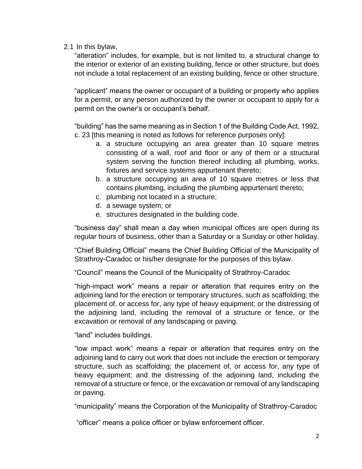2.1 In this bylaw,

"alteration" includes, for example, but is not limited to, a structural change to the interior or exterior of an existing building, fence or other structure, but does not include a total replacement of an existing building, fence or other structure.

"applicant" means the owner or occupant of a building or property who applies for a permit, or any person authorized by the owner or occupant to apply for a permit on the owner's or occupant's behalf.

"building" has the same meaning as in Section 1 of the Building Code Act, 1992, c. 23 [this meaning is noted as follows for reference purposes only]:

- a. a structure occupying an area greater than 10 square metres consisting of a wall, roof and floor or any of them or a structural system serving the function thereof including all plumbing, works, fixtures and service systems appurtenant thereto;
- b. a structure occupying an area of 10 square metres or less that contains plumbing, including the plumbing appurtenant thereto;
- c. plumbing not located in a structure;
- d. a sewage system; or
- e. structures designated in the building code.

"business day" shall mean a day when municipal offices are open during its regular hours of business, other than a Saturday or a Sunday or other holiday.

"Chief Building Official" means the Chief Building Official of the Municipality of Strathroy-Caradoc or his/her designate for the purposes of this bylaw.

"Council" means the Council of the Municipality of Strathroy-Caradoc

"high-impact work" means a repair or alteration that requires entry on the adjoining land for the erection or temporary structures, such as scaffolding; the placement of, or access for, any type of heavy equipment; or the distressing of the adjoining land, including the removal of a structure or fence, or the excavation or removal of any landscaping or paving.

"land" includes buildings.

"low impact work" means a repair or alteration that requires entry on the adjoining land to carry out work that does not include the erection or temporary structure, such as scaffolding; the placement of, or access for, any type of heavy equipment; and the distressing of the adjoining land, including the removal of a structure or fence, or the excavation or removal of any landscaping or paving.

"municipality" means the Corporation of the Municipality of Strathroy-Caradoc

"officer" means a police officer or bylaw enforcement officer.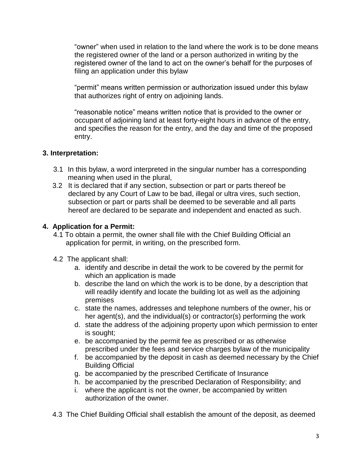"owner" when used in relation to the land where the work is to be done means the registered owner of the land or a person authorized in writing by the registered owner of the land to act on the owner's behalf for the purposes of filing an application under this bylaw

"permit" means written permission or authorization issued under this bylaw that authorizes right of entry on adjoining lands.

"reasonable notice" means written notice that is provided to the owner or occupant of adjoining land at least forty-eight hours in advance of the entry, and specifies the reason for the entry, and the day and time of the proposed entry.

## **3. Interpretation:**

- 3.1 In this bylaw, a word interpreted in the singular number has a corresponding meaning when used in the plural,
- 3.2 It is declared that if any section, subsection or part or parts thereof be declared by any Court of Law to be bad, illegal or ultra vires, such section, subsection or part or parts shall be deemed to be severable and all parts hereof are declared to be separate and independent and enacted as such.

#### **4. Application for a Permit:**

- 4.1 To obtain a permit, the owner shall file with the Chief Building Official an application for permit, in writing, on the prescribed form.
- 4.2 The applicant shall:
	- a. identify and describe in detail the work to be covered by the permit for which an application is made
	- b. describe the land on which the work is to be done, by a description that will readily identify and locate the building lot as well as the adjoining premises
	- c. state the names, addresses and telephone numbers of the owner, his or her agent(s), and the individual(s) or contractor(s) performing the work
	- d. state the address of the adjoining property upon which permission to enter is sought;
	- e. be accompanied by the permit fee as prescribed or as otherwise prescribed under the fees and service charges bylaw of the municipality
	- f. be accompanied by the deposit in cash as deemed necessary by the Chief Building Official
	- g. be accompanied by the prescribed Certificate of Insurance
	- h. be accompanied by the prescribed Declaration of Responsibility; and
	- i. where the applicant is not the owner, be accompanied by written authorization of the owner.
- 4.3 The Chief Building Official shall establish the amount of the deposit, as deemed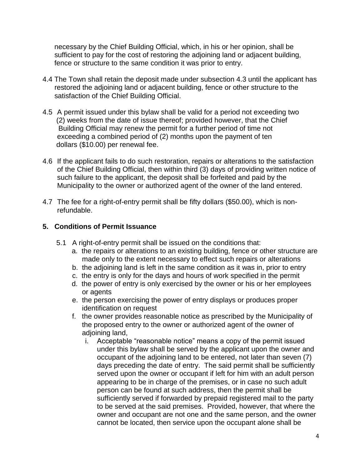necessary by the Chief Building Official, which, in his or her opinion, shall be sufficient to pay for the cost of restoring the adjoining land or adjacent building, fence or structure to the same condition it was prior to entry.

- 4.4 The Town shall retain the deposit made under subsection 4.3 until the applicant has restored the adjoining land or adjacent building, fence or other structure to the satisfaction of the Chief Building Official.
- 4.5 A permit issued under this bylaw shall be valid for a period not exceeding two (2) weeks from the date of issue thereof; provided however, that the Chief Building Official may renew the permit for a further period of time not exceeding a combined period of (2) months upon the payment of ten dollars (\$10.00) per renewal fee.
- 4.6 If the applicant fails to do such restoration, repairs or alterations to the satisfaction of the Chief Building Official, then within third (3) days of providing written notice of such failure to the applicant, the deposit shall be forfeited and paid by the Municipality to the owner or authorized agent of the owner of the land entered.
- 4.7 The fee for a right-of-entry permit shall be fifty dollars (\$50.00), which is non refundable.

#### **5. Conditions of Permit Issuance**

- 5.1 A right-of-entry permit shall be issued on the conditions that:
	- a. the repairs or alterations to an existing building, fence or other structure are made only to the extent necessary to effect such repairs or alterations
	- b. the adjoining land is left in the same condition as it was in, prior to entry
	- c. the entry is only for the days and hours of work specified in the permit
	- d. the power of entry is only exercised by the owner or his or her employees or agents
	- e. the person exercising the power of entry displays or produces proper identification on request
	- f. the owner provides reasonable notice as prescribed by the Municipality of the proposed entry to the owner or authorized agent of the owner of adioining land,
		- i. Acceptable "reasonable notice" means a copy of the permit issued under this bylaw shall be served by the applicant upon the owner and occupant of the adjoining land to be entered, not later than seven (7) days preceding the date of entry. The said permit shall be sufficiently served upon the owner or occupant if left for him with an adult person appearing to be in charge of the premises, or in case no such adult person can be found at such address, then the permit shall be sufficiently served if forwarded by prepaid registered mail to the party to be served at the said premises. Provided, however, that where the owner and occupant are not one and the same person, and the owner cannot be located, then service upon the occupant alone shall be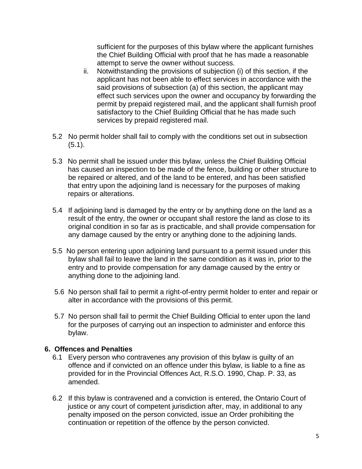sufficient for the purposes of this bylaw where the applicant furnishes the Chief Building Official with proof that he has made a reasonable attempt to serve the owner without success.

- ii. Notwithstanding the provisions of subjection (i) of this section, if the applicant has not been able to effect services in accordance with the said provisions of subsection (a) of this section, the applicant may effect such services upon the owner and occupancy by forwarding the permit by prepaid registered mail, and the applicant shall furnish proof satisfactory to the Chief Building Official that he has made such services by prepaid registered mail.
- 5.2 No permit holder shall fail to comply with the conditions set out in subsection (5.1).
- 5.3 No permit shall be issued under this bylaw, unless the Chief Building Official has caused an inspection to be made of the fence, building or other structure to be repaired or altered, and of the land to be entered, and has been satisfied that entry upon the adjoining land is necessary for the purposes of making repairs or alterations.
- 5.4 If adjoining land is damaged by the entry or by anything done on the land as a result of the entry, the owner or occupant shall restore the land as close to its original condition in so far as is practicable, and shall provide compensation for any damage caused by the entry or anything done to the adjoining lands.
- 5.5 No person entering upon adjoining land pursuant to a permit issued under this bylaw shall fail to leave the land in the same condition as it was in, prior to the entry and to provide compensation for any damage caused by the entry or anything done to the adjoining land.
- 5.6 No person shall fail to permit a right-of-entry permit holder to enter and repair or alter in accordance with the provisions of this permit.
- 5.7 No person shall fail to permit the Chief Building Official to enter upon the land for the purposes of carrying out an inspection to administer and enforce this bylaw.

#### **6. Offences and Penalties**

- 6.1 Every person who contravenes any provision of this bylaw is guilty of an offence and if convicted on an offence under this bylaw, is liable to a fine as provided for in the Provincial Offences Act, R.S.O. 1990, Chap. P. 33, as amended.
- 6.2 If this bylaw is contravened and a conviction is entered, the Ontario Court of justice or any court of competent jurisdiction after, may, in additional to any penalty imposed on the person convicted, issue an Order prohibiting the continuation or repetition of the offence by the person convicted.